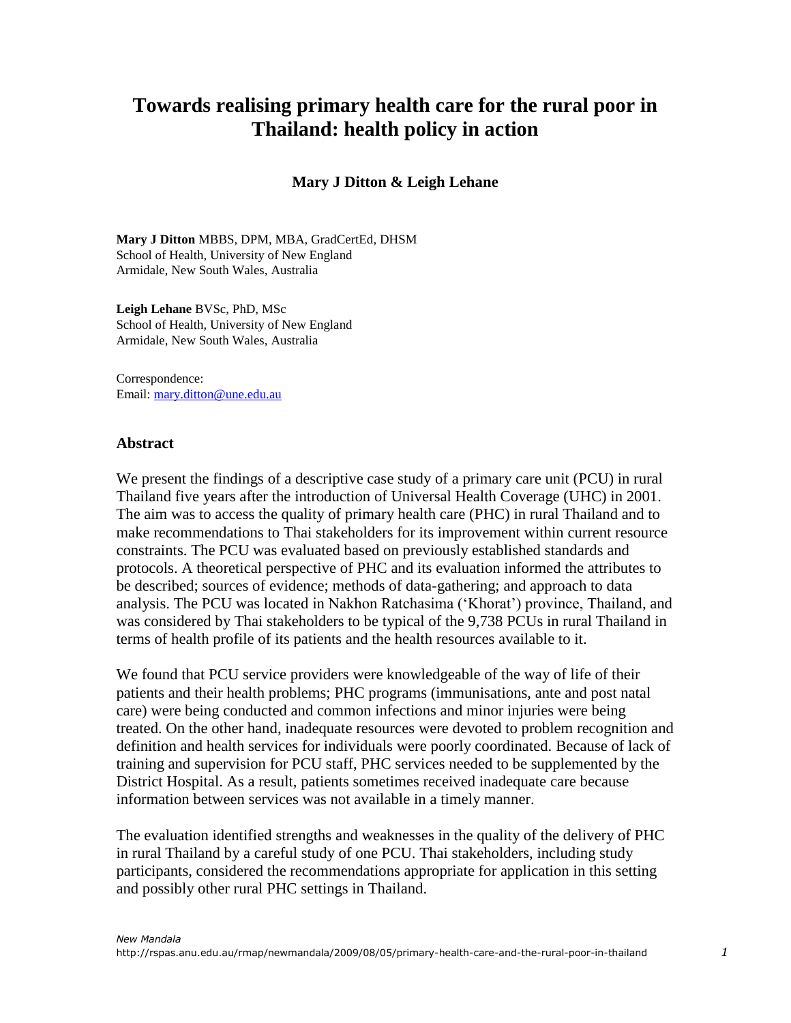# **Towards realising primary health care for the rural poor in Thailand: health policy in action**

## **Mary J Ditton & Leigh Lehane**

**Mary J Ditton** MBBS, DPM, MBA, GradCertEd, DHSM School of Health, University of New England Armidale, New South Wales, Australia

**Leigh Lehane** BVSc, PhD, MSc School of Health, University of New England Armidale, New South Wales, Australia

Correspondence: Email: [mary.ditton@une.edu.au](mailto:mary.ditton@une.edu.au)

#### **Abstract**

We present the findings of a descriptive case study of a primary care unit (PCU) in rural Thailand five years after the introduction of Universal Health Coverage (UHC) in 2001. The aim was to access the quality of primary health care (PHC) in rural Thailand and to make recommendations to Thai stakeholders for its improvement within current resource constraints. The PCU was evaluated based on previously established standards and protocols. A theoretical perspective of PHC and its evaluation informed the attributes to be described; sources of evidence; methods of data-gathering; and approach to data analysis. The PCU was located in Nakhon Ratchasima ('Khorat') province, Thailand, and was considered by Thai stakeholders to be typical of the 9,738 PCUs in rural Thailand in terms of health profile of its patients and the health resources available to it.

We found that PCU service providers were knowledgeable of the way of life of their patients and their health problems; PHC programs (immunisations, ante and post natal care) were being conducted and common infections and minor injuries were being treated. On the other hand, inadequate resources were devoted to problem recognition and definition and health services for individuals were poorly coordinated. Because of lack of training and supervision for PCU staff, PHC services needed to be supplemented by the District Hospital. As a result, patients sometimes received inadequate care because information between services was not available in a timely manner.

The evaluation identified strengths and weaknesses in the quality of the delivery of PHC in rural Thailand by a careful study of one PCU. Thai stakeholders, including study participants, considered the recommendations appropriate for application in this setting and possibly other rural PHC settings in Thailand.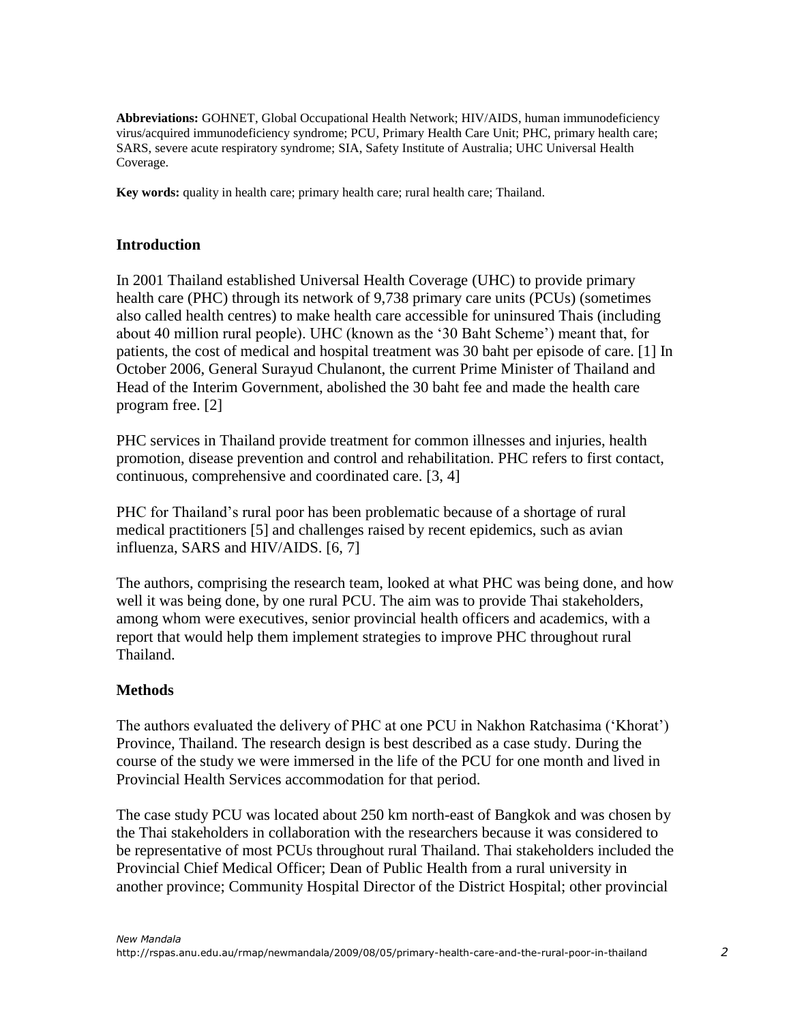**Abbreviations:** GOHNET, Global Occupational Health Network; HIV/AIDS, human immunodeficiency virus/acquired immunodeficiency syndrome; PCU, Primary Health Care Unit; PHC, primary health care; SARS, severe acute respiratory syndrome; SIA, Safety Institute of Australia; UHC Universal Health Coverage.

**Key words:** quality in health care; primary health care; rural health care; Thailand.

## **Introduction**

In 2001 Thailand established Universal Health Coverage (UHC) to provide primary health care (PHC) through its network of 9,738 primary care units (PCUs) (sometimes also called health centres) to make health care accessible for uninsured Thais (including about 40 million rural people). UHC (known as the '30 Baht Scheme') meant that, for patients, the cost of medical and hospital treatment was 30 baht per episode of care. [1] In October 2006, General Surayud Chulanont, the current Prime Minister of Thailand and Head of the Interim Government, abolished the 30 baht fee and made the health care program free. [2]

PHC services in Thailand provide treatment for common illnesses and injuries, health promotion, disease prevention and control and rehabilitation. PHC refers to first contact, continuous, comprehensive and coordinated care. [3, 4]

PHC for Thailand's rural poor has been problematic because of a shortage of rural medical practitioners [5] and challenges raised by recent epidemics, such as avian influenza, SARS and HIV/AIDS. [6, 7]

The authors, comprising the research team, looked at what PHC was being done, and how well it was being done, by one rural PCU. The aim was to provide Thai stakeholders, among whom were executives, senior provincial health officers and academics, with a report that would help them implement strategies to improve PHC throughout rural Thailand.

# **Methods**

The authors evaluated the delivery of PHC at one PCU in Nakhon Ratchasima ('Khorat') Province, Thailand. The research design is best described as a case study. During the course of the study we were immersed in the life of the PCU for one month and lived in Provincial Health Services accommodation for that period.

The case study PCU was located about 250 km north-east of Bangkok and was chosen by the Thai stakeholders in collaboration with the researchers because it was considered to be representative of most PCUs throughout rural Thailand. Thai stakeholders included the Provincial Chief Medical Officer; Dean of Public Health from a rural university in another province; Community Hospital Director of the District Hospital; other provincial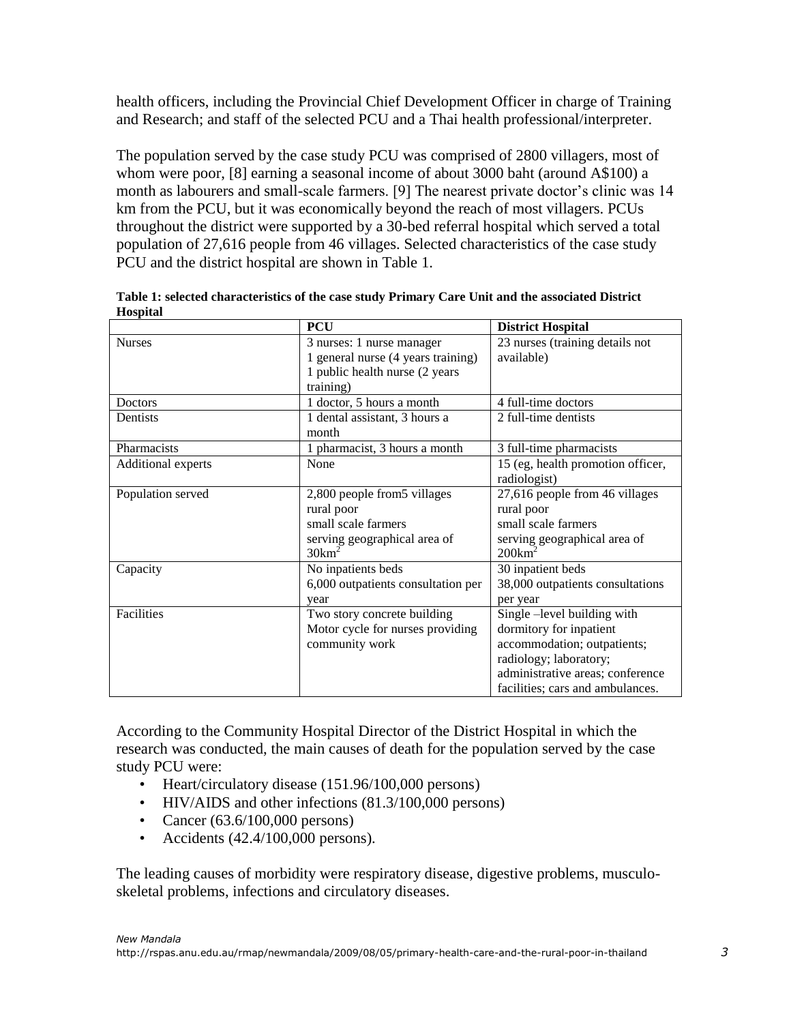health officers, including the Provincial Chief Development Officer in charge of Training and Research; and staff of the selected PCU and a Thai health professional/interpreter.

The population served by the case study PCU was comprised of 2800 villagers, most of whom were poor, [8] earning a seasonal income of about 3000 baht (around A\$100) a month as labourers and small-scale farmers. [9] The nearest private doctor's clinic was 14 km from the PCU, but it was economically beyond the reach of most villagers. PCUs throughout the district were supported by a 30-bed referral hospital which served a total population of 27,616 people from 46 villages. Selected characteristics of the case study PCU and the district hospital are shown in Table 1.

|                    | <b>PCU</b>                                       | <b>District Hospital</b>          |  |
|--------------------|--------------------------------------------------|-----------------------------------|--|
| <b>Nurses</b>      | 3 nurses: 1 nurse manager                        | 23 nurses (training details not   |  |
|                    | 1 general nurse (4 years training)               | available)                        |  |
|                    | 1 public health nurse (2 years                   |                                   |  |
|                    | training)                                        |                                   |  |
| <b>Doctors</b>     | 1 doctor, 5 hours a month<br>4 full-time doctors |                                   |  |
| Dentists           | 1 dental assistant, 3 hours a                    | 2 full-time dentists              |  |
|                    | month                                            |                                   |  |
| Pharmacists        | 1 pharmacist, 3 hours a month                    | 3 full-time pharmacists           |  |
| Additional experts | None                                             | 15 (eg, health promotion officer, |  |
|                    |                                                  | radiologist)                      |  |
| Population served  | 2,800 people from5 villages                      | 27,616 people from 46 villages    |  |
|                    | rural poor                                       | rural poor                        |  |
|                    | small scale farmers                              | small scale farmers               |  |
|                    | serving geographical area of                     | serving geographical area of      |  |
|                    | $30 \text{km}^2$                                 | $200 \text{km}^2$                 |  |
| Capacity           | No inpatients beds                               | 30 inpatient beds                 |  |
|                    | 6,000 outpatients consultation per               | 38,000 outpatients consultations  |  |
|                    | year                                             | per year                          |  |
| Facilities         | Two story concrete building                      | Single-level building with        |  |
|                    | Motor cycle for nurses providing                 | dormitory for inpatient           |  |
|                    | community work                                   | accommodation; outpatients;       |  |
|                    |                                                  | radiology; laboratory;            |  |
|                    |                                                  | administrative areas; conference  |  |
|                    |                                                  | facilities; cars and ambulances.  |  |

**Table 1: selected characteristics of the case study Primary Care Unit and the associated District Hospital** 

According to the Community Hospital Director of the District Hospital in which the research was conducted, the main causes of death for the population served by the case study PCU were:

- Heart/circulatory disease (151.96/100,000 persons)
- HIV/AIDS and other infections (81.3/100,000 persons)
- Cancer  $(63.6/100,000 \text{ persons})$
- Accidents  $(42.4/100,000$  persons).

The leading causes of morbidity were respiratory disease, digestive problems, musculoskeletal problems, infections and circulatory diseases.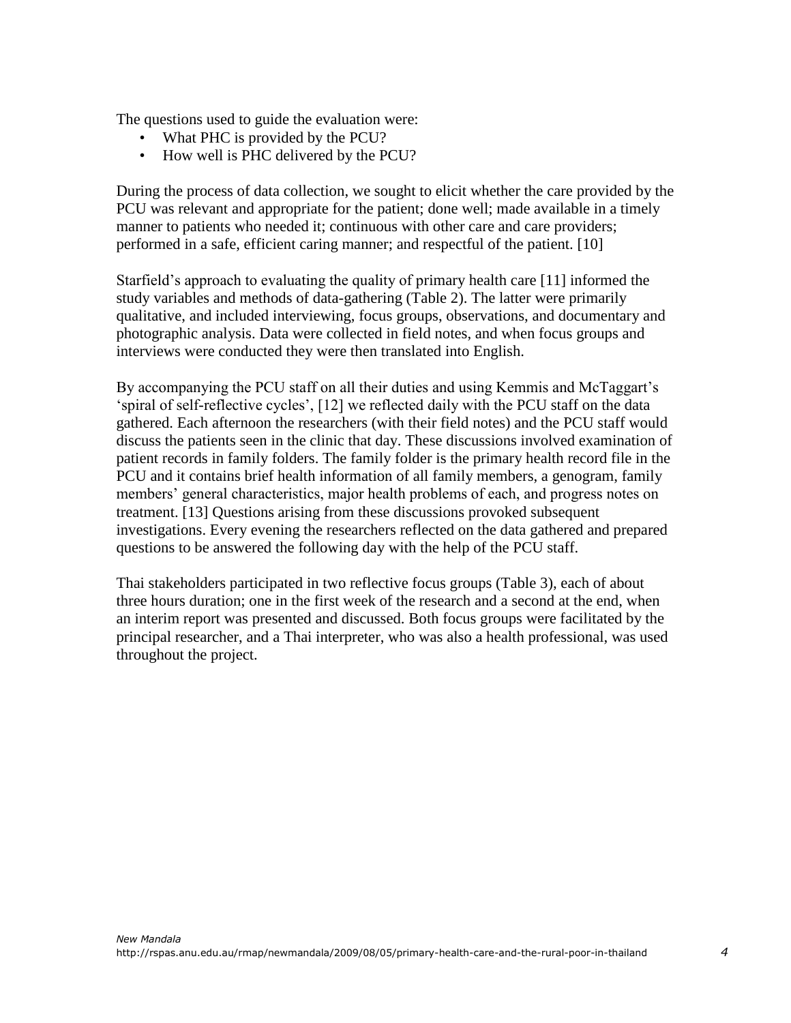The questions used to guide the evaluation were:

- What PHC is provided by the PCU?
- How well is PHC delivered by the PCU?

During the process of data collection, we sought to elicit whether the care provided by the PCU was relevant and appropriate for the patient; done well; made available in a timely manner to patients who needed it; continuous with other care and care providers; performed in a safe, efficient caring manner; and respectful of the patient. [10]

Starfield's approach to evaluating the quality of primary health care [11] informed the study variables and methods of data-gathering (Table 2). The latter were primarily qualitative, and included interviewing, focus groups, observations, and documentary and photographic analysis. Data were collected in field notes, and when focus groups and interviews were conducted they were then translated into English.

By accompanying the PCU staff on all their duties and using Kemmis and McTaggart's 'spiral of self-reflective cycles', [12] we reflected daily with the PCU staff on the data gathered. Each afternoon the researchers (with their field notes) and the PCU staff would discuss the patients seen in the clinic that day. These discussions involved examination of patient records in family folders. The family folder is the primary health record file in the PCU and it contains brief health information of all family members, a genogram, family members' general characteristics, major health problems of each, and progress notes on treatment. [13] Questions arising from these discussions provoked subsequent investigations. Every evening the researchers reflected on the data gathered and prepared questions to be answered the following day with the help of the PCU staff.

Thai stakeholders participated in two reflective focus groups (Table 3), each of about three hours duration; one in the first week of the research and a second at the end, when an interim report was presented and discussed. Both focus groups were facilitated by the principal researcher, and a Thai interpreter, who was also a health professional, was used throughout the project.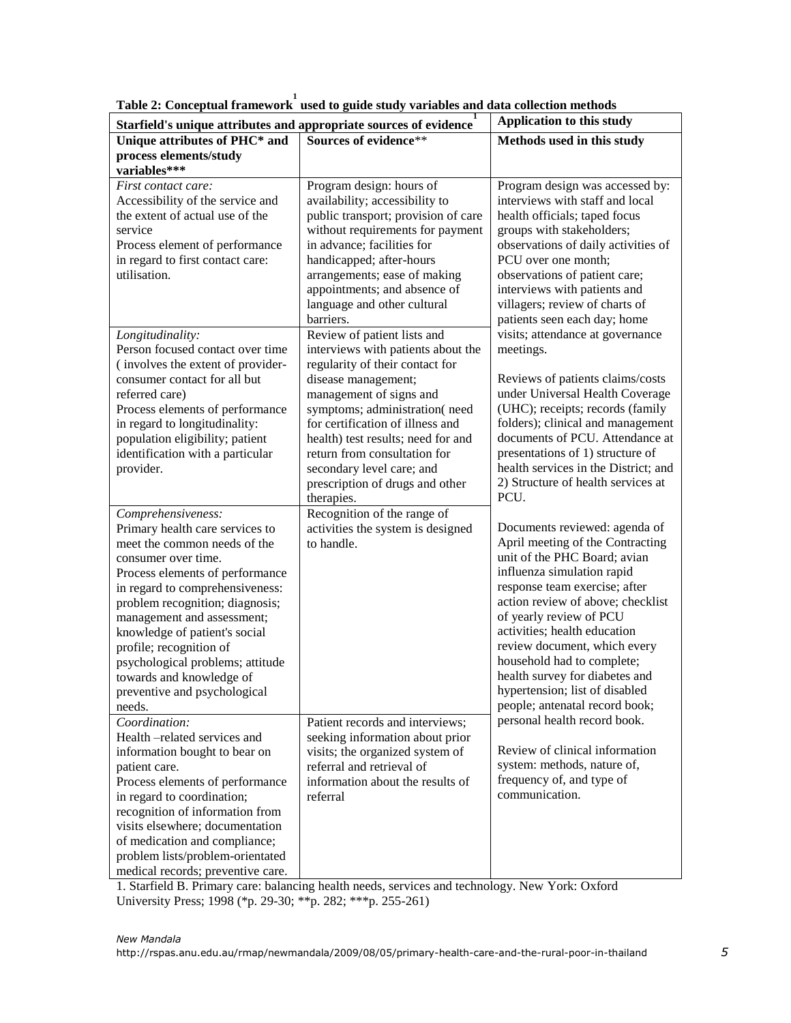| Starfield's unique attributes and appropriate sources of evidence                                                                                                                           | Application to this study                                                                                                                                                                                                                                                                      |                                                                                                                                                                                                                                                                                                   |
|---------------------------------------------------------------------------------------------------------------------------------------------------------------------------------------------|------------------------------------------------------------------------------------------------------------------------------------------------------------------------------------------------------------------------------------------------------------------------------------------------|---------------------------------------------------------------------------------------------------------------------------------------------------------------------------------------------------------------------------------------------------------------------------------------------------|
| Unique attributes of PHC* and                                                                                                                                                               | Sources of evidence**                                                                                                                                                                                                                                                                          | Methods used in this study                                                                                                                                                                                                                                                                        |
| process elements/study                                                                                                                                                                      |                                                                                                                                                                                                                                                                                                |                                                                                                                                                                                                                                                                                                   |
| variables***                                                                                                                                                                                |                                                                                                                                                                                                                                                                                                |                                                                                                                                                                                                                                                                                                   |
| First contact care:<br>Accessibility of the service and<br>the extent of actual use of the<br>service<br>Process element of performance<br>in regard to first contact care:<br>utilisation. | Program design: hours of<br>availability; accessibility to<br>public transport; provision of care<br>without requirements for payment<br>in advance; facilities for<br>handicapped; after-hours<br>arrangements; ease of making<br>appointments; and absence of<br>language and other cultural | Program design was accessed by:<br>interviews with staff and local<br>health officials; taped focus<br>groups with stakeholders;<br>observations of daily activities of<br>PCU over one month;<br>observations of patient care;<br>interviews with patients and<br>villagers; review of charts of |
|                                                                                                                                                                                             | barriers.                                                                                                                                                                                                                                                                                      | patients seen each day; home                                                                                                                                                                                                                                                                      |
| Longitudinality:                                                                                                                                                                            | Review of patient lists and                                                                                                                                                                                                                                                                    | visits; attendance at governance                                                                                                                                                                                                                                                                  |
| Person focused contact over time                                                                                                                                                            | interviews with patients about the                                                                                                                                                                                                                                                             | meetings.                                                                                                                                                                                                                                                                                         |
| (involves the extent of provider-<br>consumer contact for all but<br>referred care)<br>Process elements of performance<br>in regard to longitudinality:<br>population eligibility; patient  | regularity of their contact for<br>disease management;<br>management of signs and<br>symptoms; administration(need<br>for certification of illness and<br>health) test results; need for and                                                                                                   | Reviews of patients claims/costs<br>under Universal Health Coverage<br>(UHC); receipts; records (family<br>folders); clinical and management<br>documents of PCU. Attendance at                                                                                                                   |
| identification with a particular                                                                                                                                                            | return from consultation for                                                                                                                                                                                                                                                                   | presentations of 1) structure of                                                                                                                                                                                                                                                                  |
| provider.                                                                                                                                                                                   | secondary level care; and<br>prescription of drugs and other<br>therapies.                                                                                                                                                                                                                     | health services in the District; and<br>2) Structure of health services at<br>PCU.                                                                                                                                                                                                                |
| Comprehensiveness:                                                                                                                                                                          | Recognition of the range of                                                                                                                                                                                                                                                                    |                                                                                                                                                                                                                                                                                                   |
| Primary health care services to                                                                                                                                                             | activities the system is designed                                                                                                                                                                                                                                                              | Documents reviewed: agenda of                                                                                                                                                                                                                                                                     |
| meet the common needs of the                                                                                                                                                                | to handle.                                                                                                                                                                                                                                                                                     | April meeting of the Contracting                                                                                                                                                                                                                                                                  |
| consumer over time.                                                                                                                                                                         |                                                                                                                                                                                                                                                                                                | unit of the PHC Board; avian                                                                                                                                                                                                                                                                      |
| Process elements of performance                                                                                                                                                             |                                                                                                                                                                                                                                                                                                | influenza simulation rapid                                                                                                                                                                                                                                                                        |
| in regard to comprehensiveness:                                                                                                                                                             |                                                                                                                                                                                                                                                                                                | response team exercise; after                                                                                                                                                                                                                                                                     |
| problem recognition; diagnosis;                                                                                                                                                             |                                                                                                                                                                                                                                                                                                | action review of above; checklist                                                                                                                                                                                                                                                                 |
| management and assessment;                                                                                                                                                                  |                                                                                                                                                                                                                                                                                                | of yearly review of PCU<br>activities; health education                                                                                                                                                                                                                                           |
| knowledge of patient's social<br>profile; recognition of                                                                                                                                    |                                                                                                                                                                                                                                                                                                | review document, which every                                                                                                                                                                                                                                                                      |
| psychological problems; attitude                                                                                                                                                            |                                                                                                                                                                                                                                                                                                | household had to complete;                                                                                                                                                                                                                                                                        |
| towards and knowledge of                                                                                                                                                                    |                                                                                                                                                                                                                                                                                                | health survey for diabetes and                                                                                                                                                                                                                                                                    |
| preventive and psychological                                                                                                                                                                |                                                                                                                                                                                                                                                                                                | hypertension; list of disabled                                                                                                                                                                                                                                                                    |
| needs.                                                                                                                                                                                      |                                                                                                                                                                                                                                                                                                | people; antenatal record book;                                                                                                                                                                                                                                                                    |
| Coordination:                                                                                                                                                                               | Patient records and interviews;                                                                                                                                                                                                                                                                | personal health record book.                                                                                                                                                                                                                                                                      |
| Health-related services and                                                                                                                                                                 | seeking information about prior                                                                                                                                                                                                                                                                |                                                                                                                                                                                                                                                                                                   |
| information bought to bear on                                                                                                                                                               | visits; the organized system of                                                                                                                                                                                                                                                                | Review of clinical information                                                                                                                                                                                                                                                                    |
| patient care.                                                                                                                                                                               | referral and retrieval of                                                                                                                                                                                                                                                                      | system: methods, nature of,                                                                                                                                                                                                                                                                       |
| Process elements of performance                                                                                                                                                             | information about the results of                                                                                                                                                                                                                                                               | frequency of, and type of                                                                                                                                                                                                                                                                         |
| in regard to coordination;                                                                                                                                                                  | referral                                                                                                                                                                                                                                                                                       | communication.                                                                                                                                                                                                                                                                                    |
| recognition of information from                                                                                                                                                             |                                                                                                                                                                                                                                                                                                |                                                                                                                                                                                                                                                                                                   |
| visits elsewhere; documentation                                                                                                                                                             |                                                                                                                                                                                                                                                                                                |                                                                                                                                                                                                                                                                                                   |
| of medication and compliance;                                                                                                                                                               |                                                                                                                                                                                                                                                                                                |                                                                                                                                                                                                                                                                                                   |
| problem lists/problem-orientated                                                                                                                                                            |                                                                                                                                                                                                                                                                                                |                                                                                                                                                                                                                                                                                                   |
| medical records; preventive care.                                                                                                                                                           |                                                                                                                                                                                                                                                                                                |                                                                                                                                                                                                                                                                                                   |

**Table 2: Conceptual framework 1 used to guide study variables and data collection methods** 

1. Starfield B. Primary care: balancing health needs, services and technology. New York: Oxford University Press; 1998 (\*p. 29-30; \*\*p. 282; \*\*\*p. 255-261)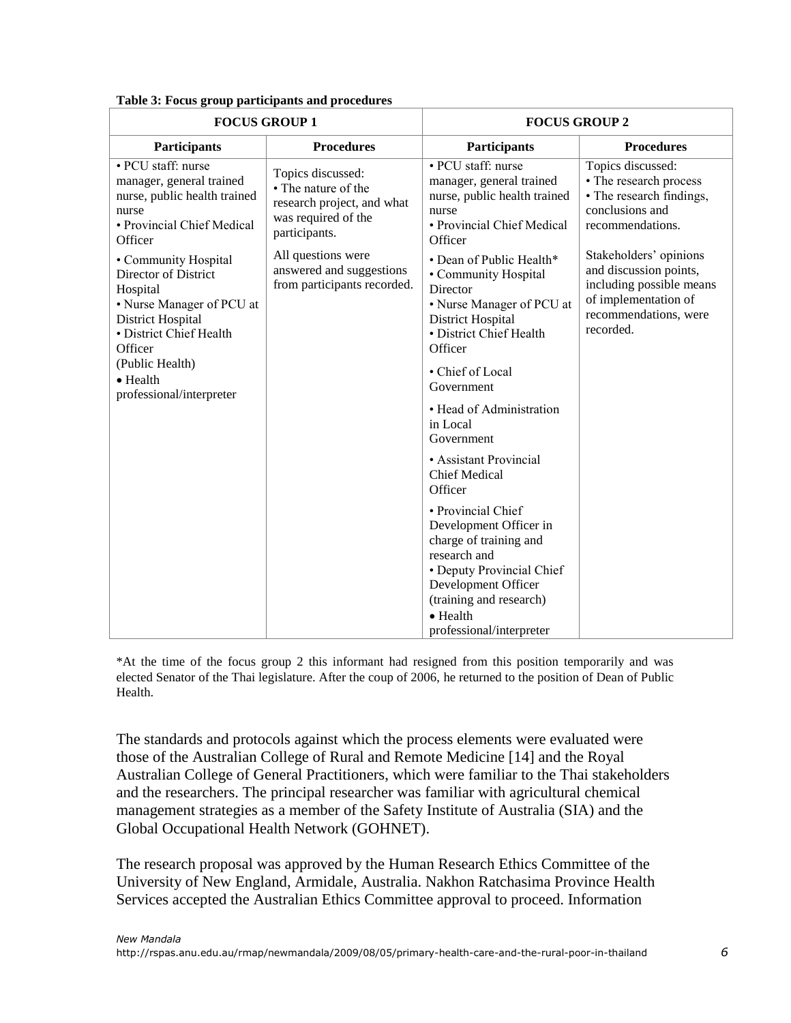| <b>FOCUS GROUP 1</b>                                                                                                                                                                                                                                                                                                                                           |                                                                                                                                                                                                 | <b>FOCUS GROUP 2</b>                                                                                                                                                                                                                                                                                                                                                                                                                                                                                                                                                                                                                       |                                                                                                                                                                                                                                                              |  |
|----------------------------------------------------------------------------------------------------------------------------------------------------------------------------------------------------------------------------------------------------------------------------------------------------------------------------------------------------------------|-------------------------------------------------------------------------------------------------------------------------------------------------------------------------------------------------|--------------------------------------------------------------------------------------------------------------------------------------------------------------------------------------------------------------------------------------------------------------------------------------------------------------------------------------------------------------------------------------------------------------------------------------------------------------------------------------------------------------------------------------------------------------------------------------------------------------------------------------------|--------------------------------------------------------------------------------------------------------------------------------------------------------------------------------------------------------------------------------------------------------------|--|
| <b>Participants</b>                                                                                                                                                                                                                                                                                                                                            | <b>Procedures</b>                                                                                                                                                                               | Participants                                                                                                                                                                                                                                                                                                                                                                                                                                                                                                                                                                                                                               | <b>Procedures</b>                                                                                                                                                                                                                                            |  |
| · PCU staff: nurse<br>manager, general trained<br>nurse, public health trained<br>nurse<br>• Provincial Chief Medical<br>Officer<br>• Community Hospital<br>Director of District<br>Hospital<br>• Nurse Manager of PCU at<br><b>District Hospital</b><br>• District Chief Health<br>Officer<br>(Public Health)<br>$\bullet$ Health<br>professional/interpreter | Topics discussed:<br>• The nature of the<br>research project, and what<br>was required of the<br>participants.<br>All questions were<br>answered and suggestions<br>from participants recorded. | · PCU staff: nurse<br>manager, general trained<br>nurse, public health trained<br>nurse<br>• Provincial Chief Medical<br>Officer<br>• Dean of Public Health*<br>• Community Hospital<br>Director<br>• Nurse Manager of PCU at<br>District Hospital<br>• District Chief Health<br>Officer<br>• Chief of Local<br>Government<br>• Head of Administration<br>in Local<br>Government<br>• Assistant Provincial<br><b>Chief Medical</b><br>Officer<br>• Provincial Chief<br>Development Officer in<br>charge of training and<br>research and<br>• Deputy Provincial Chief<br>Development Officer<br>(training and research)<br>$\bullet$ Health | Topics discussed:<br>• The research process<br>• The research findings,<br>conclusions and<br>recommendations.<br>Stakeholders' opinions<br>and discussion points,<br>including possible means<br>of implementation of<br>recommendations, were<br>recorded. |  |
|                                                                                                                                                                                                                                                                                                                                                                |                                                                                                                                                                                                 | professional/interpreter                                                                                                                                                                                                                                                                                                                                                                                                                                                                                                                                                                                                                   |                                                                                                                                                                                                                                                              |  |

**Table 3: Focus group participants and procedures** 

\*At the time of the focus group 2 this informant had resigned from this position temporarily and was elected Senator of the Thai legislature. After the coup of 2006, he returned to the position of Dean of Public Health.

The standards and protocols against which the process elements were evaluated were those of the Australian College of Rural and Remote Medicine [14] and the Royal Australian College of General Practitioners, which were familiar to the Thai stakeholders and the researchers. The principal researcher was familiar with agricultural chemical management strategies as a member of the Safety Institute of Australia (SIA) and the Global Occupational Health Network (GOHNET).

The research proposal was approved by the Human Research Ethics Committee of the University of New England, Armidale, Australia. Nakhon Ratchasima Province Health Services accepted the Australian Ethics Committee approval to proceed. Information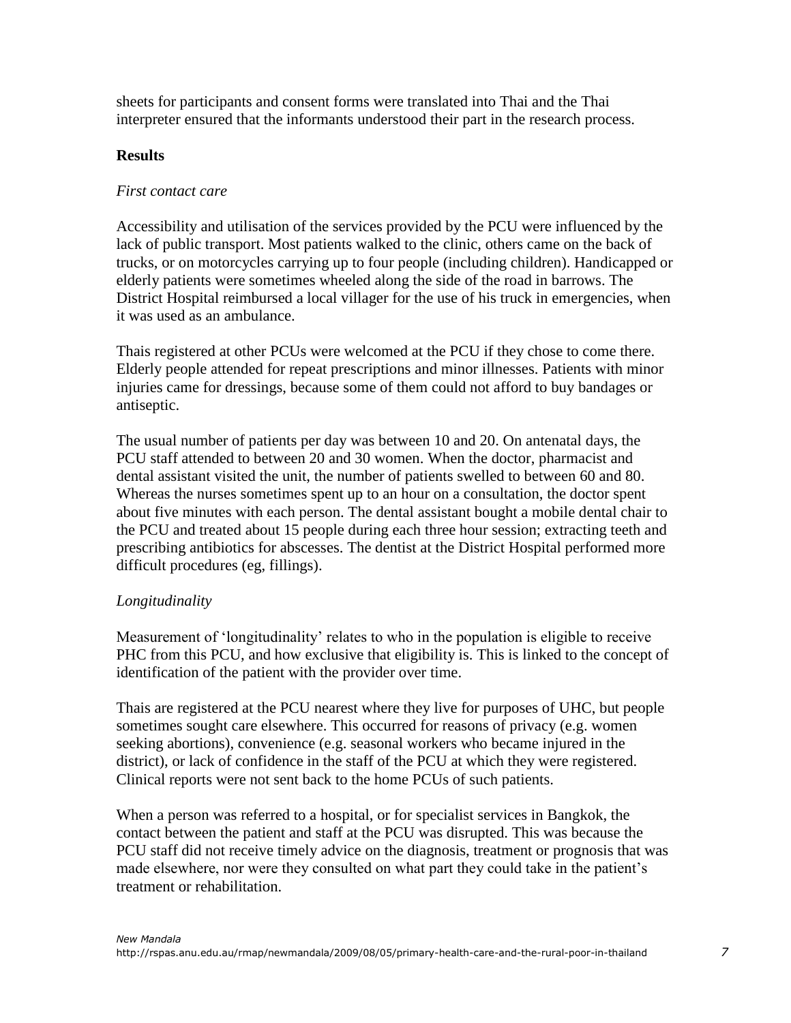sheets for participants and consent forms were translated into Thai and the Thai interpreter ensured that the informants understood their part in the research process.

## **Results**

## *First contact care*

Accessibility and utilisation of the services provided by the PCU were influenced by the lack of public transport. Most patients walked to the clinic, others came on the back of trucks, or on motorcycles carrying up to four people (including children). Handicapped or elderly patients were sometimes wheeled along the side of the road in barrows. The District Hospital reimbursed a local villager for the use of his truck in emergencies, when it was used as an ambulance.

Thais registered at other PCUs were welcomed at the PCU if they chose to come there. Elderly people attended for repeat prescriptions and minor illnesses. Patients with minor injuries came for dressings, because some of them could not afford to buy bandages or antiseptic.

The usual number of patients per day was between 10 and 20. On antenatal days, the PCU staff attended to between 20 and 30 women. When the doctor, pharmacist and dental assistant visited the unit, the number of patients swelled to between 60 and 80. Whereas the nurses sometimes spent up to an hour on a consultation, the doctor spent about five minutes with each person. The dental assistant bought a mobile dental chair to the PCU and treated about 15 people during each three hour session; extracting teeth and prescribing antibiotics for abscesses. The dentist at the District Hospital performed more difficult procedures (eg, fillings).

#### *Longitudinality*

Measurement of 'longitudinality' relates to who in the population is eligible to receive PHC from this PCU, and how exclusive that eligibility is. This is linked to the concept of identification of the patient with the provider over time.

Thais are registered at the PCU nearest where they live for purposes of UHC, but people sometimes sought care elsewhere. This occurred for reasons of privacy (e.g. women seeking abortions), convenience (e.g. seasonal workers who became injured in the district), or lack of confidence in the staff of the PCU at which they were registered. Clinical reports were not sent back to the home PCUs of such patients.

When a person was referred to a hospital, or for specialist services in Bangkok, the contact between the patient and staff at the PCU was disrupted. This was because the PCU staff did not receive timely advice on the diagnosis, treatment or prognosis that was made elsewhere, nor were they consulted on what part they could take in the patient's treatment or rehabilitation.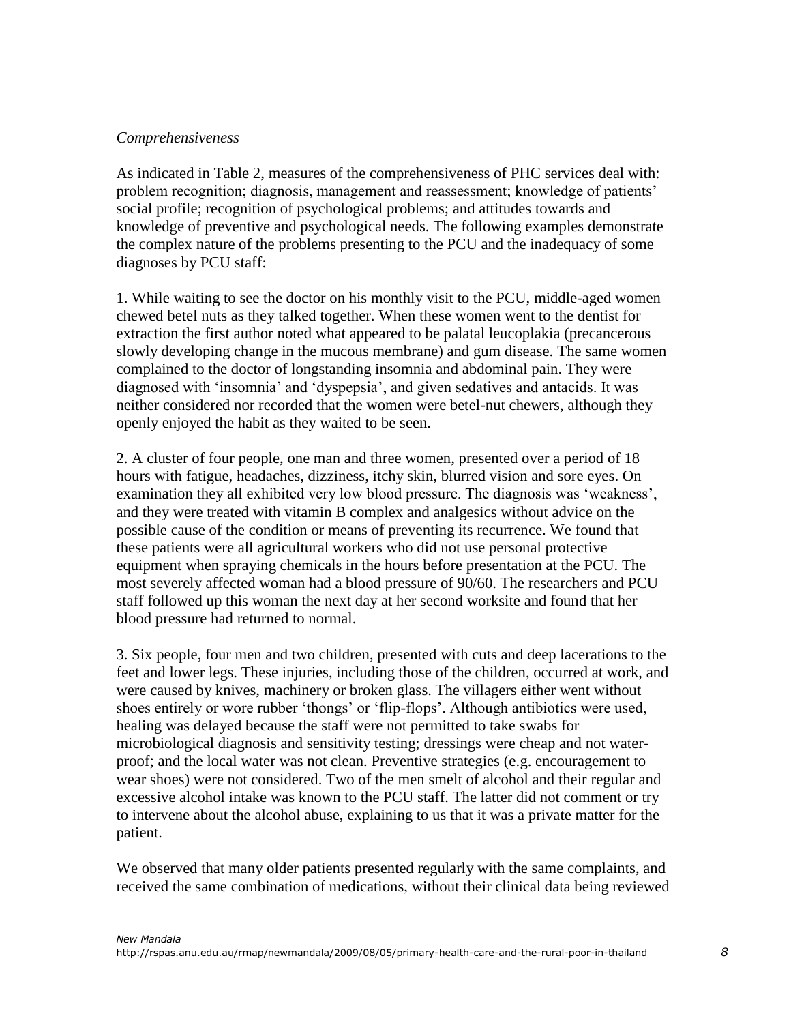#### *Comprehensiveness*

As indicated in Table 2, measures of the comprehensiveness of PHC services deal with: problem recognition; diagnosis, management and reassessment; knowledge of patients' social profile; recognition of psychological problems; and attitudes towards and knowledge of preventive and psychological needs. The following examples demonstrate the complex nature of the problems presenting to the PCU and the inadequacy of some diagnoses by PCU staff:

1. While waiting to see the doctor on his monthly visit to the PCU, middle-aged women chewed betel nuts as they talked together. When these women went to the dentist for extraction the first author noted what appeared to be palatal leucoplakia (precancerous slowly developing change in the mucous membrane) and gum disease. The same women complained to the doctor of longstanding insomnia and abdominal pain. They were diagnosed with 'insomnia' and 'dyspepsia', and given sedatives and antacids. It was neither considered nor recorded that the women were betel-nut chewers, although they openly enjoyed the habit as they waited to be seen.

2. A cluster of four people, one man and three women, presented over a period of 18 hours with fatigue, headaches, dizziness, itchy skin, blurred vision and sore eyes. On examination they all exhibited very low blood pressure. The diagnosis was 'weakness', and they were treated with vitamin B complex and analgesics without advice on the possible cause of the condition or means of preventing its recurrence. We found that these patients were all agricultural workers who did not use personal protective equipment when spraying chemicals in the hours before presentation at the PCU. The most severely affected woman had a blood pressure of 90/60. The researchers and PCU staff followed up this woman the next day at her second worksite and found that her blood pressure had returned to normal.

3. Six people, four men and two children, presented with cuts and deep lacerations to the feet and lower legs. These injuries, including those of the children, occurred at work, and were caused by knives, machinery or broken glass. The villagers either went without shoes entirely or wore rubber 'thongs' or 'flip-flops'. Although antibiotics were used, healing was delayed because the staff were not permitted to take swabs for microbiological diagnosis and sensitivity testing; dressings were cheap and not waterproof; and the local water was not clean. Preventive strategies (e.g. encouragement to wear shoes) were not considered. Two of the men smelt of alcohol and their regular and excessive alcohol intake was known to the PCU staff. The latter did not comment or try to intervene about the alcohol abuse, explaining to us that it was a private matter for the patient.

We observed that many older patients presented regularly with the same complaints, and received the same combination of medications, without their clinical data being reviewed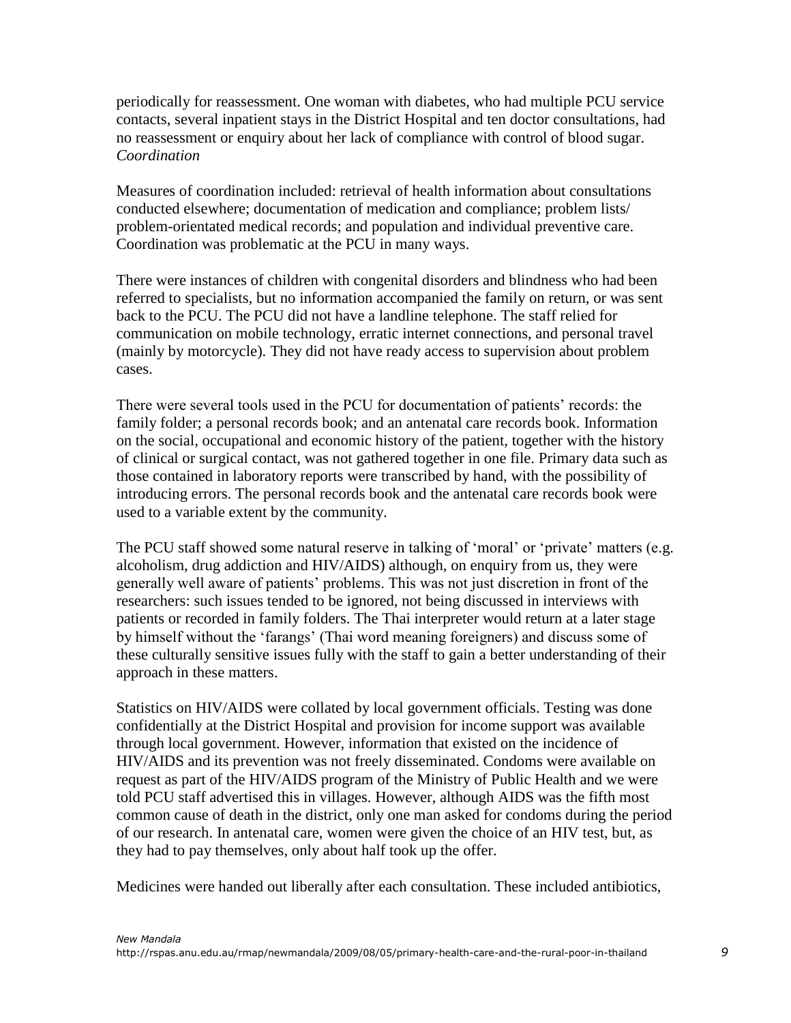periodically for reassessment. One woman with diabetes, who had multiple PCU service contacts, several inpatient stays in the District Hospital and ten doctor consultations, had no reassessment or enquiry about her lack of compliance with control of blood sugar. *Coordination* 

Measures of coordination included: retrieval of health information about consultations conducted elsewhere; documentation of medication and compliance; problem lists/ problem-orientated medical records; and population and individual preventive care. Coordination was problematic at the PCU in many ways.

There were instances of children with congenital disorders and blindness who had been referred to specialists, but no information accompanied the family on return, or was sent back to the PCU. The PCU did not have a landline telephone. The staff relied for communication on mobile technology, erratic internet connections, and personal travel (mainly by motorcycle). They did not have ready access to supervision about problem cases.

There were several tools used in the PCU for documentation of patients' records: the family folder; a personal records book; and an antenatal care records book. Information on the social, occupational and economic history of the patient, together with the history of clinical or surgical contact, was not gathered together in one file. Primary data such as those contained in laboratory reports were transcribed by hand, with the possibility of introducing errors. The personal records book and the antenatal care records book were used to a variable extent by the community.

The PCU staff showed some natural reserve in talking of 'moral' or 'private' matters (e.g. alcoholism, drug addiction and HIV/AIDS) although, on enquiry from us, they were generally well aware of patients' problems. This was not just discretion in front of the researchers: such issues tended to be ignored, not being discussed in interviews with patients or recorded in family folders. The Thai interpreter would return at a later stage by himself without the 'farangs' (Thai word meaning foreigners) and discuss some of these culturally sensitive issues fully with the staff to gain a better understanding of their approach in these matters.

Statistics on HIV/AIDS were collated by local government officials. Testing was done confidentially at the District Hospital and provision for income support was available through local government. However, information that existed on the incidence of HIV/AIDS and its prevention was not freely disseminated. Condoms were available on request as part of the HIV/AIDS program of the Ministry of Public Health and we were told PCU staff advertised this in villages. However, although AIDS was the fifth most common cause of death in the district, only one man asked for condoms during the period of our research. In antenatal care, women were given the choice of an HIV test, but, as they had to pay themselves, only about half took up the offer.

Medicines were handed out liberally after each consultation. These included antibiotics,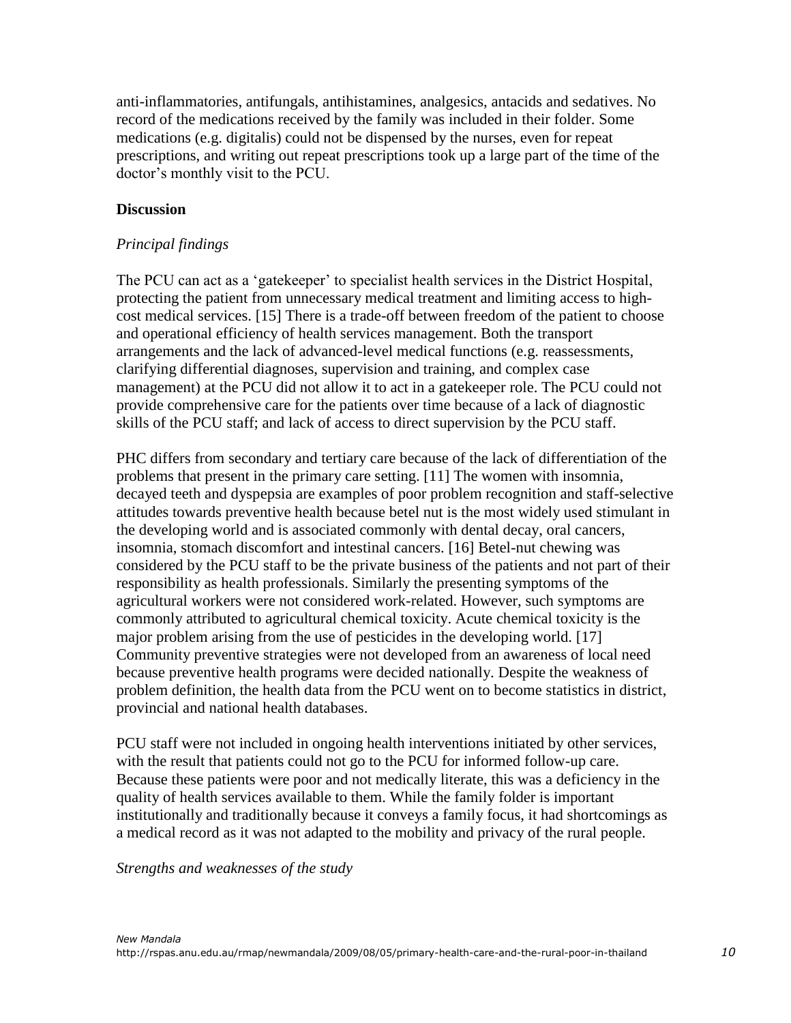anti-inflammatories, antifungals, antihistamines, analgesics, antacids and sedatives. No record of the medications received by the family was included in their folder. Some medications (e.g. digitalis) could not be dispensed by the nurses, even for repeat prescriptions, and writing out repeat prescriptions took up a large part of the time of the doctor's monthly visit to the PCU.

# **Discussion**

## *Principal findings*

The PCU can act as a 'gatekeeper' to specialist health services in the District Hospital, protecting the patient from unnecessary medical treatment and limiting access to highcost medical services. [15] There is a trade-off between freedom of the patient to choose and operational efficiency of health services management. Both the transport arrangements and the lack of advanced-level medical functions (e.g. reassessments, clarifying differential diagnoses, supervision and training, and complex case management) at the PCU did not allow it to act in a gatekeeper role. The PCU could not provide comprehensive care for the patients over time because of a lack of diagnostic skills of the PCU staff; and lack of access to direct supervision by the PCU staff.

PHC differs from secondary and tertiary care because of the lack of differentiation of the problems that present in the primary care setting. [11] The women with insomnia, decayed teeth and dyspepsia are examples of poor problem recognition and staff-selective attitudes towards preventive health because betel nut is the most widely used stimulant in the developing world and is associated commonly with dental decay, oral cancers, insomnia, stomach discomfort and intestinal cancers. [16] Betel-nut chewing was considered by the PCU staff to be the private business of the patients and not part of their responsibility as health professionals. Similarly the presenting symptoms of the agricultural workers were not considered work-related. However, such symptoms are commonly attributed to agricultural chemical toxicity. Acute chemical toxicity is the major problem arising from the use of pesticides in the developing world. [17] Community preventive strategies were not developed from an awareness of local need because preventive health programs were decided nationally. Despite the weakness of problem definition, the health data from the PCU went on to become statistics in district, provincial and national health databases.

PCU staff were not included in ongoing health interventions initiated by other services, with the result that patients could not go to the PCU for informed follow-up care. Because these patients were poor and not medically literate, this was a deficiency in the quality of health services available to them. While the family folder is important institutionally and traditionally because it conveys a family focus, it had shortcomings as a medical record as it was not adapted to the mobility and privacy of the rural people.

*Strengths and weaknesses of the study*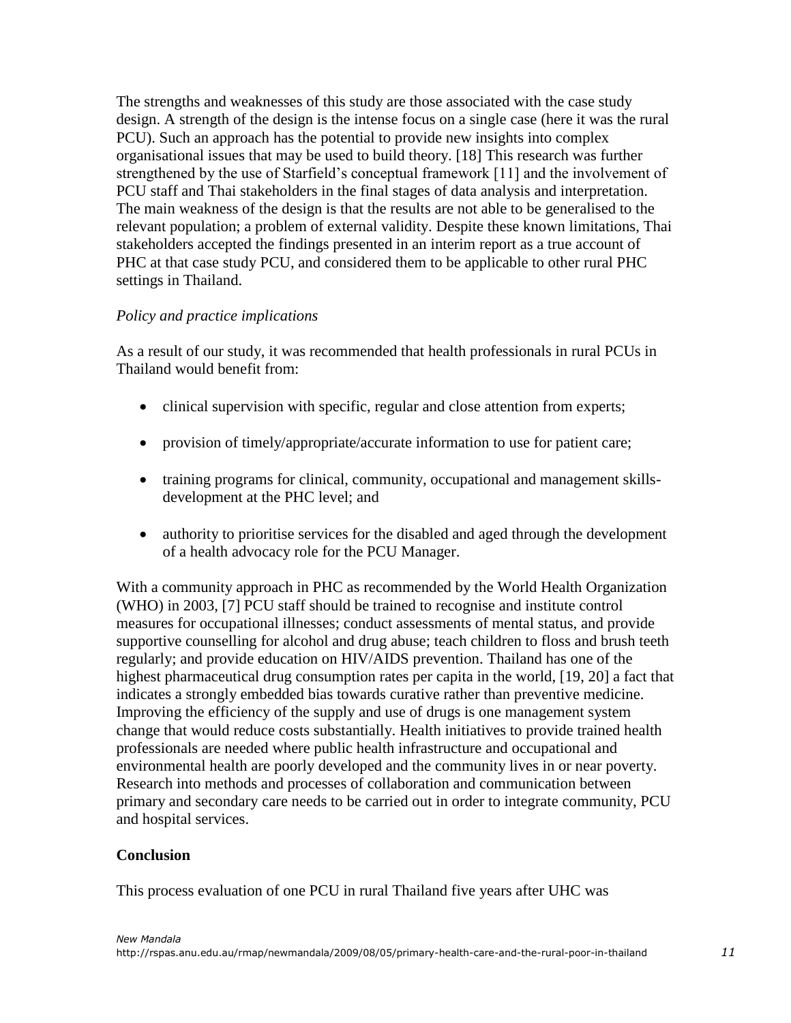The strengths and weaknesses of this study are those associated with the case study design. A strength of the design is the intense focus on a single case (here it was the rural PCU). Such an approach has the potential to provide new insights into complex organisational issues that may be used to build theory. [18] This research was further strengthened by the use of Starfield's conceptual framework [11] and the involvement of PCU staff and Thai stakeholders in the final stages of data analysis and interpretation. The main weakness of the design is that the results are not able to be generalised to the relevant population; a problem of external validity. Despite these known limitations, Thai stakeholders accepted the findings presented in an interim report as a true account of PHC at that case study PCU, and considered them to be applicable to other rural PHC settings in Thailand.

## *Policy and practice implications*

As a result of our study, it was recommended that health professionals in rural PCUs in Thailand would benefit from:

- clinical supervision with specific, regular and close attention from experts;
- provision of timely/appropriate/accurate information to use for patient care;
- training programs for clinical, community, occupational and management skillsdevelopment at the PHC level; and
- authority to prioritise services for the disabled and aged through the development of a health advocacy role for the PCU Manager.

With a community approach in PHC as recommended by the World Health Organization (WHO) in 2003, [7] PCU staff should be trained to recognise and institute control measures for occupational illnesses; conduct assessments of mental status, and provide supportive counselling for alcohol and drug abuse; teach children to floss and brush teeth regularly; and provide education on HIV/AIDS prevention. Thailand has one of the highest pharmaceutical drug consumption rates per capita in the world, [19, 20] a fact that indicates a strongly embedded bias towards curative rather than preventive medicine. Improving the efficiency of the supply and use of drugs is one management system change that would reduce costs substantially. Health initiatives to provide trained health professionals are needed where public health infrastructure and occupational and environmental health are poorly developed and the community lives in or near poverty. Research into methods and processes of collaboration and communication between primary and secondary care needs to be carried out in order to integrate community, PCU and hospital services.

# **Conclusion**

This process evaluation of one PCU in rural Thailand five years after UHC was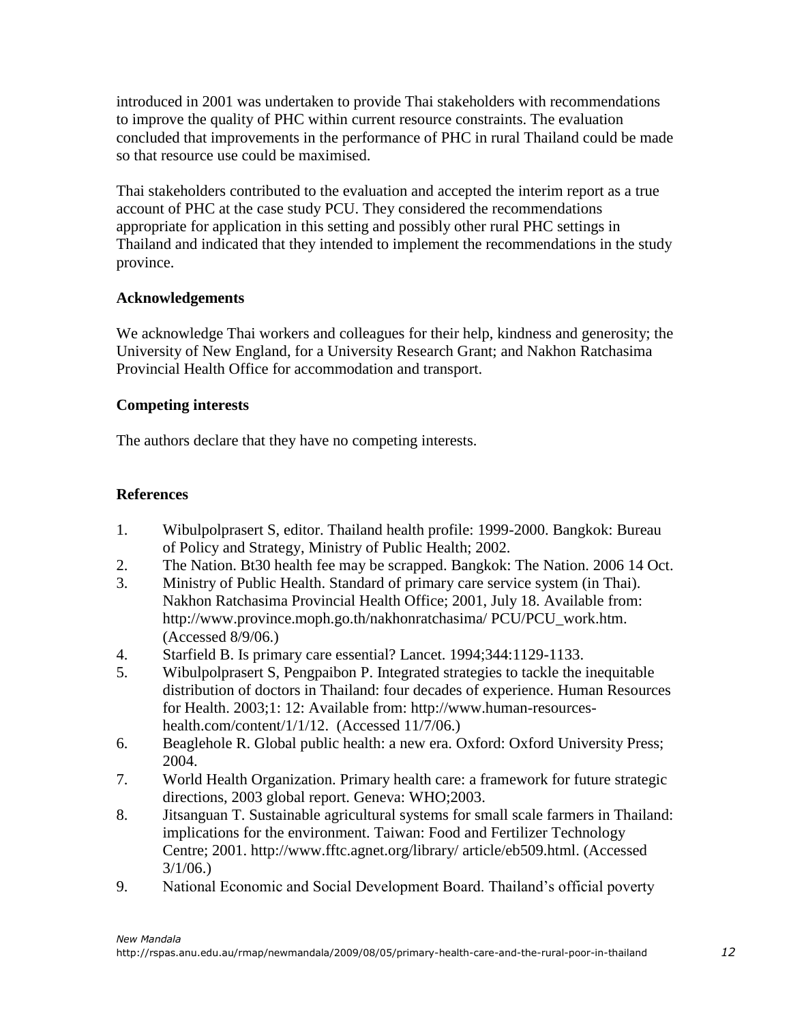introduced in 2001 was undertaken to provide Thai stakeholders with recommendations to improve the quality of PHC within current resource constraints. The evaluation concluded that improvements in the performance of PHC in rural Thailand could be made so that resource use could be maximised.

Thai stakeholders contributed to the evaluation and accepted the interim report as a true account of PHC at the case study PCU. They considered the recommendations appropriate for application in this setting and possibly other rural PHC settings in Thailand and indicated that they intended to implement the recommendations in the study province.

# **Acknowledgements**

We acknowledge Thai workers and colleagues for their help, kindness and generosity; the University of New England, for a University Research Grant; and Nakhon Ratchasima Provincial Health Office for accommodation and transport.

# **Competing interests**

The authors declare that they have no competing interests.

# **References**

- 1. Wibulpolprasert S, editor. Thailand health profile: 1999-2000. Bangkok: Bureau of Policy and Strategy, Ministry of Public Health; 2002.
- 2. The Nation. Bt30 health fee may be scrapped. Bangkok: The Nation. 2006 14 Oct.
- 3. Ministry of Public Health. Standard of primary care service system (in Thai). Nakhon Ratchasima Provincial Health Office; 2001, July 18. Available from: http://www.province.moph.go.th/nakhonratchasima/ PCU/PCU\_work.htm. (Accessed 8/9/06.)
- 4. Starfield B. Is primary care essential? Lancet. 1994;344:1129-1133.
- 5. Wibulpolprasert S, Pengpaibon P. Integrated strategies to tackle the inequitable distribution of doctors in Thailand: four decades of experience. Human Resources for Health. 2003;1: 12: Available from: http://www.human-resourceshealth.com/content/1/1/12. (Accessed 11/7/06.)
- 6. Beaglehole R. Global public health: a new era. Oxford: Oxford University Press; 2004.
- 7. World Health Organization. Primary health care: a framework for future strategic directions, 2003 global report. Geneva: WHO;2003.
- 8. Jitsanguan T. Sustainable agricultural systems for small scale farmers in Thailand: implications for the environment. Taiwan: Food and Fertilizer Technology Centre; 2001. http://www.fftc.agnet.org/library/ article/eb509.html. (Accessed 3/1/06.)
- 9. National Economic and Social Development Board. Thailand's official poverty